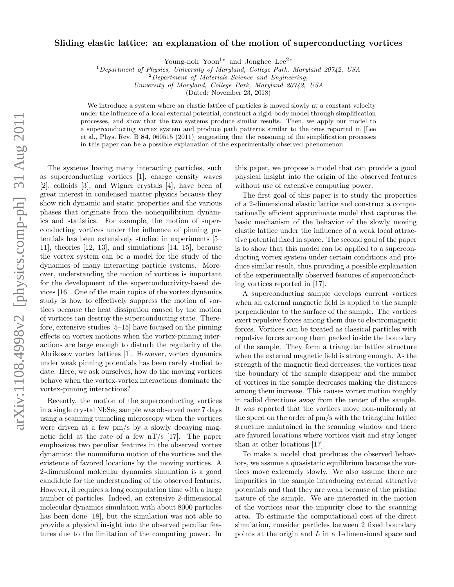## Sliding elastic lattice: an explanation of the motion of superconducting vortices

Young-noh Yoon<sup>1</sup><sup>∗</sup> and Jonghee Lee<sup>2</sup><sup>∗</sup>

 $1$ Department of Physics, University of Maryland, College Park, Maryland 20742, USA

 $2$ Department of Materials Science and Engineering,

University of Maryland, College Park, Maryland 20742, USA

(Dated: November 23, 2018)

We introduce a system where an elastic lattice of particles is moved slowly at a constant velocity under the influence of a local external potential, construct a rigid-body model through simplification processes, and show that the two systems produce similar results. Then, we apply our model to a superconducting vortex system and produce path patterns similar to the ones reported in [Lee et al., Phys. Rev. B 84, 060515 (2011)] suggesting that the reasoning of the simplification processes in this paper can be a possible explanation of the experimentally observed phenomenon.

The systems having many interacting particles, such as superconducting vortices [1], charge density waves [2], colloids [3], and Wigner crystals [4], have been of great interest in condensed matter physics because they show rich dynamic and static properties and the various phases that originate from the nonequilibrium dynamics and statistics. For example, the motion of superconducting vortices under the influence of pinning potentials has been extensively studied in experiments [5– 11], theories [12, 13], and simulations [14, 15], because the vortex system can be a model for the study of the dynamics of many interacting particle systems. Moreover, understanding the motion of vortices is important for the development of the superconductivity-based devices [16]. One of the main topics of the vortex dynamics study is how to effectively suppress the motion of vortices because the heat dissipation caused by the motion of vortices can destroy the superconducting state. Therefore, extensive studies [5–15] have focused on the pinning effects on vortex motions when the vortex-pinning interactions are large enough to disturb the regularity of the Abrikosov vortex lattices [1]. However, vortex dynamics under weak pinning potentials has been rarely studied to date. Here, we ask ourselves, how do the moving vortices behave when the vortex-vortex interactions dominate the vortex-pinning interactions?

Recently, the motion of the superconducting vortices in a single crystal NbSe<sub>2</sub> sample was observed over 7 days using a scanning tunneling microscopy when the vortices were driven at a few pm/s by a slowly decaying magnetic field at the rate of a few  $nT/s$  [17]. The paper emphasizes two peculiar features in the observed vortex dynamics: the nonuniform motion of the vortices and the existence of favored locations by the moving vortices. A 2-dimensional molecular dynamics simulation is a good candidate for the understanding of the observed features. However, it requires a long computation time with a large number of particles. Indeed, an extensive 2-dimensional molecular dynamics simulation with about 8000 particles has been done [18], but the simulation was not able to provide a physical insight into the observed peculiar features due to the limitation of the computing power. In

this paper, we propose a model that can provide a good physical insight into the origin of the observed features without use of extensive computing power.

The first goal of this paper is to study the properties of a 2-dimensional elastic lattice and construct a computationally efficient approximate model that captures the basic mechanism of the behavior of the slowly moving elastic lattice under the influence of a weak local attractive potential fixed in space. The second goal of the paper is to show that this model can be applied to a superconducting vortex system under certain conditions and produce similar result, thus providing a possible explanation of the experimentally observed features of superconducting vortices reported in [17].

A superconducting sample develops current vortices when an external magnetic field is applied to the sample perpendicular to the surface of the sample. The vortices exert repulsive forces among them due to electromagnetic forces. Vortices can be treated as classical particles with repulsive forces among them packed inside the boundary of the sample. They form a triangular lattice structure when the external magnetic field is strong enough. As the strength of the magnetic field decreases, the vortices near the boundary of the sample disappear and the number of vortices in the sample decreases making the distances among them increase. This causes vortex motion roughly in radial directions away from the center of the sample. It was reported that the vortices move non-uniformly at the speed on the order of pm/s with the triangular lattice structure maintained in the scanning window and there are favored locations where vortices visit and stay longer than at other locations [17].

To make a model that produces the observed behaviors, we assume a quasistatic equilibrium because the vortices move extremely slowly. We also assume there are impurities in the sample introducing external attractive potentials and that they are weak because of the pristine nature of the sample. We are interested in the motion of the vortices near the impurity close to the scanning area. To estimate the computational cost of the direct simulation, consider particles between 2 fixed boundary points at the origin and L in a 1-dimensional space and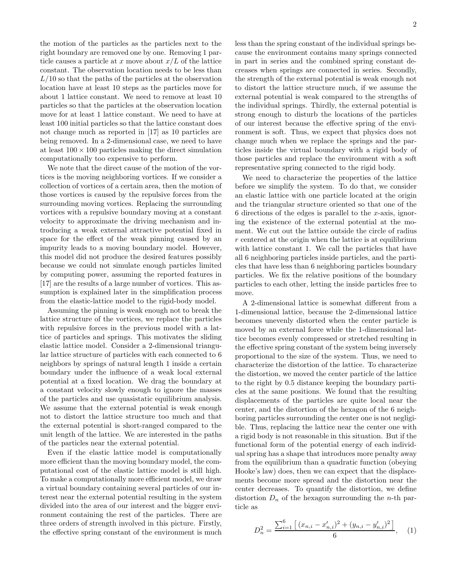the motion of the particles as the particles next to the right boundary are removed one by one. Removing 1 particle causes a particle at x move about  $x/L$  of the lattice constant. The observation location needs to be less than  $L/10$  so that the paths of the particles at the observation location have at least 10 steps as the particles move for about 1 lattice constant. We need to remove at least 10 particles so that the particles at the observation location move for at least 1 lattice constant. We need to have at least 100 initial particles so that the lattice constant does not change much as reported in [17] as 10 particles are being removed. In a 2-dimensional case, we need to have at least  $100 \times 100$  particles making the direct simulation computationally too expensive to perform.

We note that the direct cause of the motion of the vortices is the moving neighboring vortices. If we consider a collection of vortices of a certain area, then the motion of those vortices is caused by the repulsive forces from the surrounding moving vortices. Replacing the surrounding vortices with a repulsive boundary moving at a constant velocity to approximate the driving mechanism and introducing a weak external attractive potential fixed in space for the effect of the weak pinning caused by an impurity leads to a moving boundary model. However, this model did not produce the desired features possibly because we could not simulate enough particles limited by computing power, assuming the reported features in [17] are the results of a large number of vortices. This assumption is explained later in the simplification process from the elastic-lattice model to the rigid-body model.

Assuming the pinning is weak enough not to break the lattice structure of the vortices, we replace the particles with repulsive forces in the previous model with a lattice of particles and springs. This motivates the sliding elastic lattice model. Consider a 2-dimensional triangular lattice structure of particles with each connected to 6 neighbors by springs of natural length 1 inside a certain boundary under the influence of a weak local external potential at a fixed location. We drag the boundary at a constant velocity slowly enough to ignore the masses of the particles and use quasistatic equilibrium analysis. We assume that the external potential is weak enough not to distort the lattice structure too much and that the external potential is short-ranged compared to the unit length of the lattice. We are interested in the paths of the particles near the external potential.

Even if the elastic lattice model is computationally more efficient than the moving boundary model, the computational cost of the elastic lattice model is still high. To make a computationally more efficient model, we draw a virtual boundary containing several particles of our interest near the external potential resulting in the system divided into the area of our interest and the bigger environment containing the rest of the particles. There are three orders of strength involved in this picture. Firstly, the effective spring constant of the environment is much less than the spring constant of the individual springs because the environment contains many springs connected in part in series and the combined spring constant decreases when springs are connected in series. Secondly, the strength of the external potential is weak enough not to distort the lattice structure much, if we assume the external potential is weak compared to the strengths of the individual springs. Thirdly, the external potential is strong enough to disturb the locations of the particles of our interest because the effective spring of the environment is soft. Thus, we expect that physics does not change much when we replace the springs and the particles inside the virtual boundary with a rigid body of those particles and replace the environment with a soft

We need to characterize the properties of the lattice before we simplify the system. To do that, we consider an elastic lattice with one particle located at the origin and the triangular structure oriented so that one of the 6 directions of the edges is parallel to the x-axis, ignoring the existence of the external potential at the moment. We cut out the lattice outside the circle of radius r centered at the origin when the lattice is at equilibrium with lattice constant 1. We call the particles that have all 6 neighboring particles inside particles, and the particles that have less than 6 neighboring particles boundary particles. We fix the relative positions of the boundary particles to each other, letting the inside particles free to move.

representative spring connected to the rigid body.

A 2-dimensional lattice is somewhat different from a 1-dimensional lattice, because the 2-dimensional lattice becomes unevenly distorted when the center particle is moved by an external force while the 1-dimensional lattice becomes evenly compressed or stretched resulting in the effective spring constant of the system being inversely proportional to the size of the system. Thus, we need to characterize the distortion of the lattice. To characterize the distortion, we moved the center particle of the lattice to the right by 0.5 distance keeping the boundary particles at the same positions. We found that the resulting displacements of the particles are quite local near the center, and the distortion of the hexagon of the 6 neighboring particles surrounding the center one is not negligible. Thus, replacing the lattice near the center one with a rigid body is not reasonable in this situation. But if the functional form of the potential energy of each individual spring has a shape that introduces more penalty away from the equilibrium than a quadratic function (obeying Hooke's law) does, then we can expect that the displacements become more spread and the distortion near the center decreases. To quantify the distortion, we define distortion  $D_n$  of the hexagon surrounding the *n*-th particle as

$$
D_n^2 = \frac{\sum_{i=1}^6 \left[ (x_{n,i} - x'_{n,i})^2 + (y_{n,i} - y'_{n,i})^2 \right]}{6}, \quad (1)
$$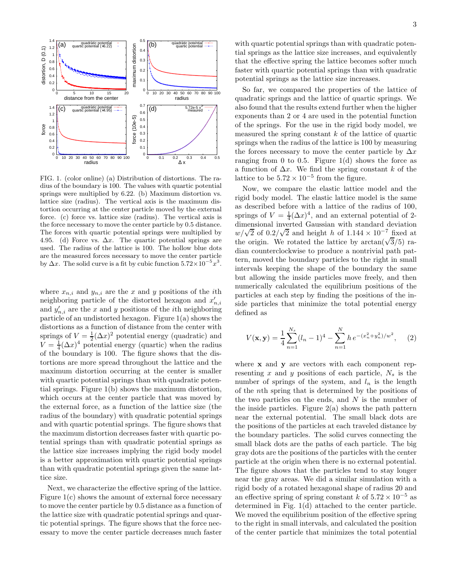

FIG. 1. (color online) (a) Distribution of distortions. The radius of the boundary is 100. The values with quartic potential springs were multiplied by 6.22. (b) Maximum distortion vs. lattice size (radius). The vertical axis is the maximum distortion occurring at the center particle moved by the external force. (c) force vs. lattice size (radius). The vertical axis is the force necessary to move the center particle by 0.5 distance. The forces with quartic potential springs were multiplied by 4.95. (d) Force vs.  $\Delta x$ . The quartic potential springs are used. The radius of the lattice is 100. The hollow blue dots are the measured forces necessary to move the center particle by  $\Delta x$ . The solid curve is a fit by cubic function  $5.72 \times 10^{-5} x^3$ .

where  $x_{n,i}$  and  $y_{n,i}$  are the x and y positions of the *i*th neighboring particle of the distorted hexagon and  $x'_{n,i}$ and  $y'_{n,i}$  are the x and y positions of the *i*<sup>th</sup> neighboring particle of an undistorted hexagon. Figure 1(a) shows the distortions as a function of distance from the center with springs of  $V = \frac{1}{2} (\Delta x)^2$  potential energy (quadratic) and  $V = \frac{1}{4} (\Delta x)^4$  potential energy (quartic) when the radius of the boundary is 100. The figure shows that the distortions are more spread throughout the lattice and the maximum distortion occurring at the center is smaller with quartic potential springs than with quadratic potential springs. Figure 1(b) shows the maximum distortion, which occurs at the center particle that was moved by the external force, as a function of the lattice size (the radius of the boundary) with quadratic potential springs and with quartic potential springs. The figure shows that the maximum distortion decreases faster with quartic potential springs than with quadratic potential springs as the lattice size increases implying the rigid body model is a better approximation with quartic potential springs than with quadratic potential springs given the same lattice size.

Next, we characterize the effective spring of the lattice. Figure  $1(c)$  shows the amount of external force necessary to move the center particle by 0.5 distance as a function of the lattice size with quadratic potential springs and quartic potential springs. The figure shows that the force necessary to move the center particle decreases much faster

with quartic potential springs than with quadratic potential springs as the lattice size increases, and equivalently that the effective spring the lattice becomes softer much faster with quartic potential springs than with quadratic potential springs as the lattice size increases.

So far, we compared the properties of the lattice of quadratic springs and the lattice of quartic springs. We also found that the results extend further when the higher exponents than 2 or 4 are used in the potential function of the springs. For the use in the rigid body model, we measured the spring constant  $k$  of the lattice of quartic springs when the radius of the lattice is 100 by measuring the forces necessary to move the center particle by  $\Delta x$ ranging from 0 to 0.5. Figure 1(d) shows the force as a function of  $\Delta x$ . We find the spring constant k of the lattice to be  $5.72 \times 10^{-5}$  from the figure.

Now, we compare the elastic lattice model and the rigid body model. The elastic lattice model is the same as described before with a lattice of the radius of 100, springs of  $V = \frac{1}{4} (\Delta x)^4$ , and an external potential of 2dimensional inverted Gaussian with standard deviation  $\frac{w}{\sqrt{2}}$  of 0.2/ $\sqrt{2}$  and height h of 1.144 × 10<sup>-7</sup> fixed at the origin. We rotated the lattice by  $\arctan(\sqrt{3}/5)$  radian counterclockwise to produce a nontrivial path pattern, moved the boundary particles to the right in small intervals keeping the shape of the boundary the same but allowing the inside particles move freely, and then numerically calculated the equilibrium positions of the particles at each step by finding the positions of the inside particles that minimize the total potential energy defined as

$$
V(\mathbf{x}, \mathbf{y}) = \frac{1}{4} \sum_{n=1}^{N_s} (l_n - 1)^4 - \sum_{n=1}^{N} h e^{-(x_n^2 + y_n^2)/w^2}, \quad (2)
$$

where **x** and **y** are vectors with each component representing x and y positions of each particle,  $N_s$  is the number of springs of the system, and  $l_n$  is the length of the nth spring that is determined by the positions of the two particles on the ends, and  $N$  is the number of the inside particles. Figure  $2(a)$  shows the path pattern near the external potential. The small black dots are the positions of the particles at each traveled distance by the boundary particles. The solid curves connecting the small black dots are the paths of each particle. The big gray dots are the positions of the particles with the center particle at the origin when there is no external potential. The figure shows that the particles tend to stay longer near the gray areas. We did a similar simulation with a rigid body of a rotated hexagonal shape of radius 20 and an effective spring of spring constant k of  $5.72 \times 10^{-5}$  as determined in Fig. 1(d) attached to the center particle. We moved the equilibrium position of the effective spring to the right in small intervals, and calculated the position of the center particle that minimizes the total potential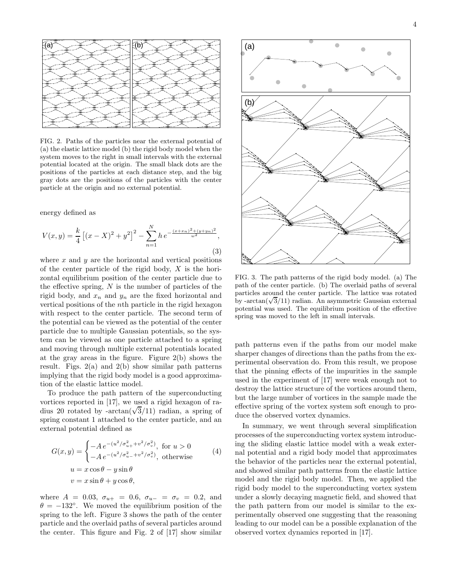

FIG. 2. Paths of the particles near the external potential of (a) the elastic lattice model (b) the rigid body model when the system moves to the right in small intervals with the external potential located at the origin. The small black dots are the positions of the particles at each distance step, and the big gray dots are the positions of the particles with the center particle at the origin and no external potential.

energy defined as

$$
V(x,y) = \frac{k}{4} \left[ (x-X)^2 + y^2 \right]^2 - \sum_{n=1}^{N} h e^{-\frac{(x+x_n)^2 + (y+y_n)^2}{w^2}},
$$
\n(3)

where  $x$  and  $y$  are the horizontal and vertical positions of the center particle of the rigid body,  $X$  is the horizontal equilibrium position of the center particle due to the effective spring,  $N$  is the number of particles of the rigid body, and  $x_n$  and  $y_n$  are the fixed horizontal and vertical positions of the nth particle in the rigid hexagon with respect to the center particle. The second term of the potential can be viewed as the potential of the center particle due to multiple Gaussian potentials, so the system can be viewed as one particle attached to a spring and moving through multiple external potentials located at the gray areas in the figure. Figure 2(b) shows the result. Figs.  $2(a)$  and  $2(b)$  show similar path patterns implying that the rigid body model is a good approximation of the elastic lattice model.

To produce the path pattern of the superconducting vortices reported in [17], we used a rigid hexagon of radius 20 rotated by -arctan( $\sqrt{3}/11$ ) radian, a spring of spring constant 1 attached to the center particle, and an external potential defined as

$$
G(x,y) = \begin{cases} -A e^{-(u^2/\sigma_{u+}^2 + v^2/\sigma_v^2)}, \text{ for } u > 0\\ -A e^{-(u^2/\sigma_{u-}^2 + v^2/\sigma_v^2)}, \text{ otherwise} \end{cases}
$$
  
\n
$$
u = x \cos \theta - y \sin \theta
$$
  
\n
$$
v = x \sin \theta + y \cos \theta,
$$
 (4)

where  $A = 0.03$ ,  $\sigma_{u+} = 0.6$ ,  $\sigma_{u-} = \sigma_v = 0.2$ , and  $\theta = -132^\circ$ . We moved the equilibrium position of the spring to the left. Figure 3 shows the path of the center particle and the overlaid paths of several particles around the center. This figure and Fig. 2 of [17] show similar



FIG. 3. The path patterns of the rigid body model. (a) The path of the center particle. (b) The overlaid paths of several particles around the center particle. The lattice was rotated by -arctan( $\sqrt{3}/11$ ) radian. An asymmetric Gaussian external potential was used. The equilibrium position of the effective spring was moved to the left in small intervals.

path patterns even if the paths from our model make sharper changes of directions than the paths from the experimental observation do. From this result, we propose that the pinning effects of the impurities in the sample used in the experiment of [17] were weak enough not to destroy the lattice structure of the vortices around them, but the large number of vortices in the sample made the effective spring of the vortex system soft enough to produce the observed vortex dynamics.

In summary, we went through several simplification processes of the superconducting vortex system introducing the sliding elastic lattice model with a weak external potential and a rigid body model that approximates the behavior of the particles near the external potential, and showed similar path patterns from the elastic lattice model and the rigid body model. Then, we applied the rigid body model to the superconducting vortex system under a slowly decaying magnetic field, and showed that the path pattern from our model is similar to the experimentally observed one suggesting that the reasoning leading to our model can be a possible explanation of the observed vortex dynamics reported in [17].